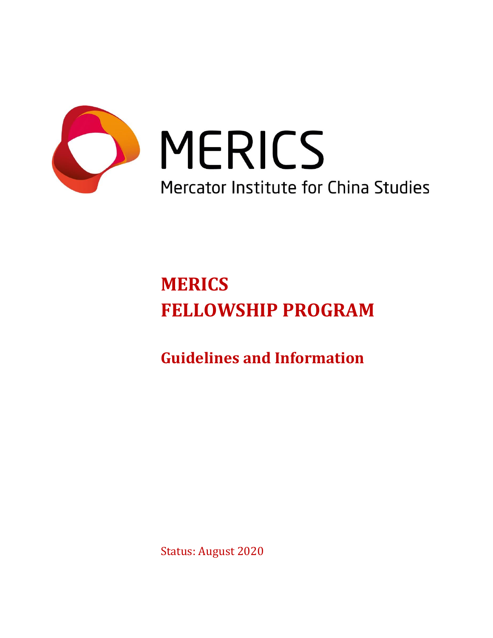

# MERICS Mercator Institute for China Studies

# **MERICS FELLOWSHIP PROGRAM**

**Guidelines and Information** 

Status: August 2020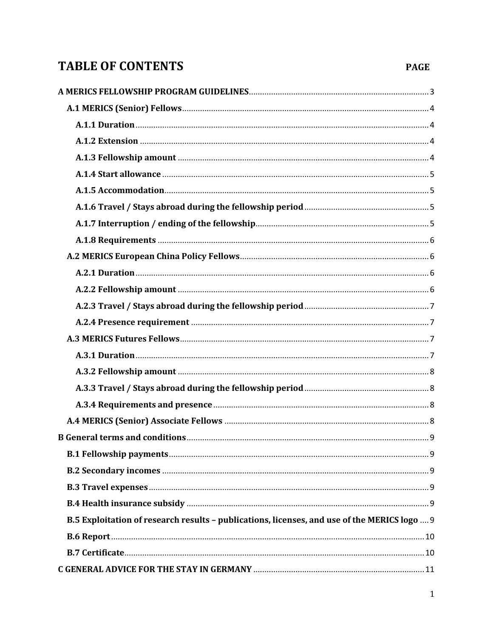# **TABLE OF CONTENTS**

#### **PAGE**

| B.5 Exploitation of research results - publications, licenses, and use of the MERICS logo  9 |
|----------------------------------------------------------------------------------------------|
|                                                                                              |
|                                                                                              |
|                                                                                              |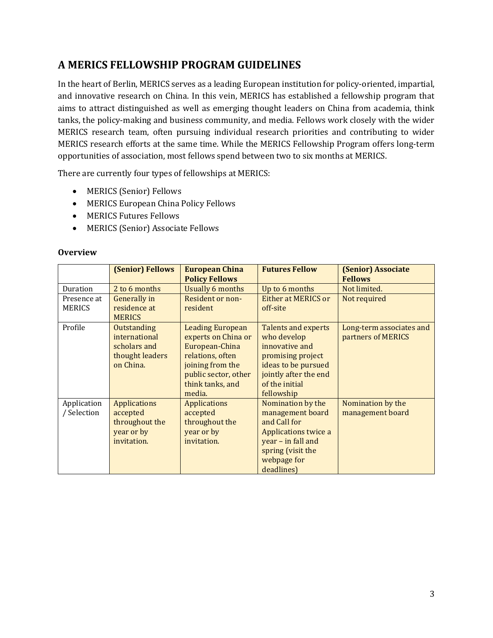# <span id="page-3-0"></span>**A MERICS FELLOWSHIP PROGRAM GUIDELINES**

In the heart of Berlin, MERICS serves as a leading European institution for policy-oriented, impartial, and innovative research on China. In this vein, MERICS has established a fellowship program that aims to attract distinguished as well as emerging thought leaders on China from academia, think tanks, the policy-making and business community, and media. Fellows work closely with the wider MERICS research team, often pursuing individual research priorities and contributing to wider MERICS research efforts at the same time. While the MERICS Fellowship Program offers long-term opportunities of association, most fellows spend between two to six months at MERICS.

There are currently four types of fellowships at MERICS:

- MERICS (Senior) Fellows
- MERICS European China Policy Fellows
- MERICS Futures Fellows
- MERICS (Senior) Associate Fellows

| <b>Overview</b> |  |
|-----------------|--|
|                 |  |

|             | <b>(Senior) Fellows</b> | <b>European China</b><br><b>Policy Fellows</b> | <b>Futures Fellow</b>      | <b>(Senior) Associate</b><br><b>Fellows</b> |
|-------------|-------------------------|------------------------------------------------|----------------------------|---------------------------------------------|
| Duration    | 2 to 6 months           | <b>Usually 6 months</b>                        | Up to 6 months             | Not limited.                                |
| Presence at | <b>Generally</b> in     | Resident or non-                               | Either at MERICS or        | Not required                                |
| MERICS      | residence at            | resident                                       | off-site                   |                                             |
|             | <b>MERICS</b>           |                                                |                            |                                             |
| Profile     | Outstanding             | <b>Leading European</b>                        | <b>Talents and experts</b> | Long-term associates and                    |
|             | international           | experts on China or                            | who develop                | partners of MERICS                          |
|             | scholars and            | European-China                                 | innovative and             |                                             |
|             | thought leaders         | relations, often                               | promising project          |                                             |
|             | on China.               | joining from the                               | ideas to be pursued        |                                             |
|             |                         | public sector, other                           | jointly after the end      |                                             |
|             |                         | think tanks, and                               | of the initial             |                                             |
|             |                         | media.                                         | fellowship                 |                                             |
| Application | <b>Applications</b>     | <b>Applications</b>                            | Nomination by the          | Nomination by the                           |
| / Selection | accepted                | accepted                                       | management board           | management board                            |
|             | throughout the          | throughout the                                 | and Call for               |                                             |
|             | year or by              | year or by                                     | Applications twice a       |                                             |
|             | invitation.             | invitation.                                    | year - in fall and         |                                             |
|             |                         |                                                | spring (visit the          |                                             |
|             |                         |                                                | webpage for                |                                             |
|             |                         |                                                | deadlines)                 |                                             |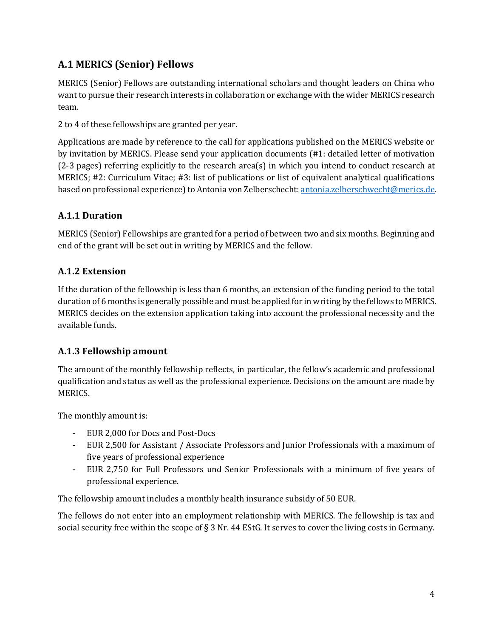# <span id="page-4-0"></span>**A.1 MERICS (Senior) Fellows**

MERICS (Senior) Fellows are outstanding international scholars and thought leaders on China who want to pursue their research interests in collaboration or exchange with the wider MERICS research team.

2 to 4 of these fellowships are granted per year.

Applications are made by reference to the call for applications published on the MERICS website or by invitation by MERICS. Please send your application documents (#1: detailed letter of motivation (2-3 pages) referring explicitly to the research area(s) in which you intend to conduct research at MERICS; #2: Curriculum Vitae; #3: list of publications or list of equivalent analytical qualifications based on professional experience) to Antonia von Zelberschecht[: antonia.zelberschwecht@merics.de.](mailto:antonia.zelberschwecht@merics.de)

#### <span id="page-4-1"></span>**A.1.1 Duration**

MERICS (Senior) Fellowships are granted for a period of between two and six months. Beginning and end of the grant will be set out in writing by MERICS and the fellow.

#### <span id="page-4-2"></span>**A.1.2 Extension**

If the duration of the fellowship is less than 6 months, an extension of the funding period to the total duration of 6 months is generally possible and must be applied for in writing by the fellows to MERICS. MERICS decides on the extension application taking into account the professional necessity and the available funds.

#### <span id="page-4-3"></span>**A.1.3 Fellowship amount**

The amount of the monthly fellowship reflects, in particular, the fellow's academic and professional qualification and status as well as the professional experience. Decisions on the amount are made by MERICS.

The monthly amount is:

- EUR 2,000 for Docs and Post-Docs
- EUR 2,500 for Assistant / Associate Professors and Junior Professionals with a maximum of five years of professional experience
- EUR 2,750 for Full Professors und Senior Professionals with a minimum of five years of professional experience.

The fellowship amount includes a monthly health insurance subsidy of 50 EUR.

The fellows do not enter into an employment relationship with MERICS. The fellowship is tax and social security free within the scope of § 3 Nr. 44 EStG. It serves to cover the living costs in Germany.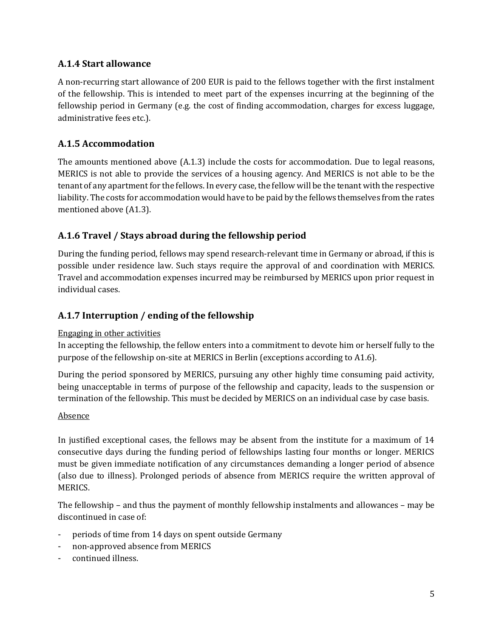#### <span id="page-5-0"></span>**A.1.4 Start allowance**

A non-recurring start allowance of 200 EUR is paid to the fellows together with the first instalment of the fellowship. This is intended to meet part of the expenses incurring at the beginning of the fellowship period in Germany (e.g. the cost of finding accommodation, charges for excess luggage, administrative fees etc.).

#### <span id="page-5-1"></span>**A.1.5 Accommodation**

The amounts mentioned above (A.1.3) include the costs for accommodation. Due to legal reasons, MERICS is not able to provide the services of a housing agency. And MERICS is not able to be the tenant of any apartment for the fellows. In every case, the fellow will be the tenant with the respective liability. The costs for accommodation would have to be paid by the fellows themselves from the rates mentioned above (A1.3).

#### <span id="page-5-2"></span>**A.1.6 Travel / Stays abroad during the fellowship period**

During the funding period, fellows may spend research-relevant time in Germany or abroad, if this is possible under residence law. Such stays require the approval of and coordination with MERICS. Travel and accommodation expenses incurred may be reimbursed by MERICS upon prior request in individual cases.

#### <span id="page-5-3"></span>**A.1.7 Interruption / ending of the fellowship**

#### Engaging in other activities

In accepting the fellowship, the fellow enters into a commitment to devote him or herself fully to the purpose of the fellowship on-site at MERICS in Berlin (exceptions according to A1.6).

During the period sponsored by MERICS, pursuing any other highly time consuming paid activity, being unacceptable in terms of purpose of the fellowship and capacity, leads to the suspension or termination of the fellowship. This must be decided by MERICS on an individual case by case basis.

#### Absence

In justified exceptional cases, the fellows may be absent from the institute for a maximum of 14 consecutive days during the funding period of fellowships lasting four months or longer. MERICS must be given immediate notification of any circumstances demanding a longer period of absence (also due to illness). Prolonged periods of absence from MERICS require the written approval of MERICS.

The fellowship – and thus the payment of monthly fellowship instalments and allowances – may be discontinued in case of:

- periods of time from 14 days on spent outside Germany
- non-approved absence from MERICS
- continued illness.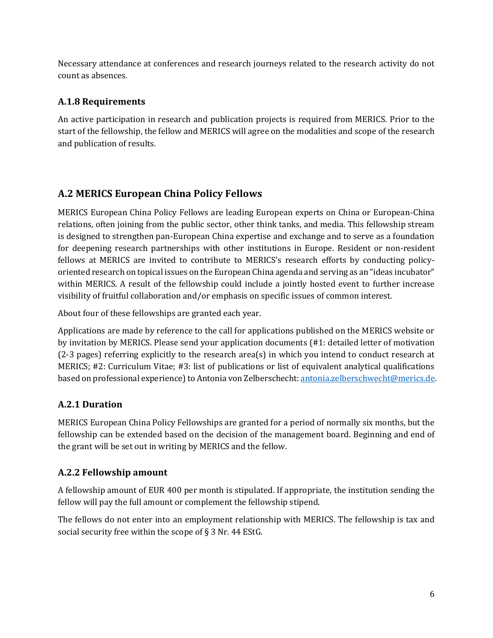Necessary attendance at conferences and research journeys related to the research activity do not count as absences.

#### <span id="page-6-0"></span>**A.1.8 Requirements**

An active participation in research and publication projects is required from MERICS. Prior to the start of the fellowship, the fellow and MERICS will agree on the modalities and scope of the research and publication of results.

#### <span id="page-6-1"></span>**A.2 MERICS European China Policy Fellows**

MERICS European China Policy Fellows are leading European experts on China or European-China relations, often joining from the public sector, other think tanks, and media. This fellowship stream is designed to strengthen pan-European China expertise and exchange and to serve as a foundation for deepening research partnerships with other institutions in Europe. Resident or non-resident fellows at MERICS are invited to contribute to MERICS's research efforts by conducting policyoriented research on topical issues on the European China agenda and serving as an "ideas incubator" within MERICS. A result of the fellowship could include a jointly hosted event to further increase visibility of fruitful collaboration and/or emphasis on specific issues of common interest.

About four of these fellowships are granted each year.

Applications are made by reference to the call for applications published on the MERICS website or by invitation by MERICS. Please send your application documents (#1: detailed letter of motivation (2-3 pages) referring explicitly to the research area(s) in which you intend to conduct research at MERICS; #2: Curriculum Vitae; #3: list of publications or list of equivalent analytical qualifications based on professional experience) to Antonia von Zelberschecht[: antonia.zelberschwecht@merics.de.](mailto:antonia.zelberschwecht@merics.de)

#### <span id="page-6-2"></span>**A.2.1 Duration**

MERICS European China Policy Fellowships are granted for a period of normally six months, but the fellowship can be extended based on the decision of the management board. Beginning and end of the grant will be set out in writing by MERICS and the fellow.

#### <span id="page-6-3"></span>**A.2.2 Fellowship amount**

A fellowship amount of EUR 400 per month is stipulated. If appropriate, the institution sending the fellow will pay the full amount or complement the fellowship stipend.

The fellows do not enter into an employment relationship with MERICS. The fellowship is tax and social security free within the scope of § 3 Nr. 44 EStG.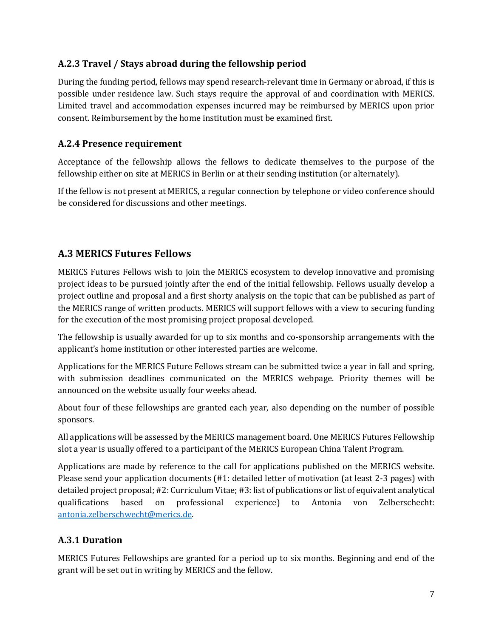#### <span id="page-7-0"></span>**A.2.3 Travel / Stays abroad during the fellowship period**

During the funding period, fellows may spend research-relevant time in Germany or abroad, if this is possible under residence law. Such stays require the approval of and coordination with MERICS. Limited travel and accommodation expenses incurred may be reimbursed by MERICS upon prior consent. Reimbursement by the home institution must be examined first.

#### <span id="page-7-1"></span>**A.2.4 Presence requirement**

Acceptance of the fellowship allows the fellows to dedicate themselves to the purpose of the fellowship either on site at MERICS in Berlin or at their sending institution (or alternately).

If the fellow is not present at MERICS, a regular connection by telephone or video conference should be considered for discussions and other meetings.

#### <span id="page-7-2"></span>**A.3 MERICS Futures Fellows**

MERICS Futures Fellows wish to join the MERICS ecosystem to develop innovative and promising project ideas to be pursued jointly after the end of the initial fellowship. Fellows usually develop a project outline and proposal and a first shorty analysis on the topic that can be published as part of the MERICS range of written products. MERICS will support fellows with a view to securing funding for the execution of the most promising project proposal developed.

The fellowship is usually awarded for up to six months and co-sponsorship arrangements with the applicant's home institution or other interested parties are welcome.

Applications for the MERICS Future Fellows stream can be submitted twice a year in fall and spring, with submission deadlines communicated on the MERICS webpage. Priority themes will be announced on the website usually four weeks ahead.

About four of these fellowships are granted each year, also depending on the number of possible sponsors.

All applications will be assessed by the MERICS management board. One MERICS Futures Fellowship slot a year is usually offered to a participant of the MERICS European China Talent Program.

Applications are made by reference to the call for applications published on the MERICS website. Please send your application documents (#1: detailed letter of motivation (at least 2-3 pages) with detailed project proposal; #2: Curriculum Vitae; #3: list of publications or list of equivalent analytical qualifications based on professional experience) to Antonia von Zelberschecht: [antonia.zelberschwecht@merics.de.](mailto:antonia.zelberschwecht@merics.de)

#### <span id="page-7-3"></span>**A.3.1 Duration**

MERICS Futures Fellowships are granted for a period up to six months. Beginning and end of the grant will be set out in writing by MERICS and the fellow.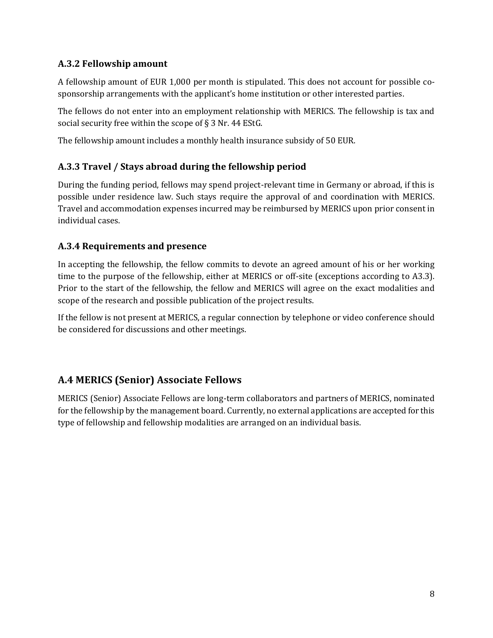#### <span id="page-8-0"></span>**A.3.2 Fellowship amount**

A fellowship amount of EUR 1,000 per month is stipulated. This does not account for possible cosponsorship arrangements with the applicant's home institution or other interested parties.

The fellows do not enter into an employment relationship with MERICS. The fellowship is tax and social security free within the scope of § 3 Nr. 44 EStG.

The fellowship amount includes a monthly health insurance subsidy of 50 EUR.

#### <span id="page-8-1"></span>**A.3.3 Travel / Stays abroad during the fellowship period**

During the funding period, fellows may spend project-relevant time in Germany or abroad, if this is possible under residence law. Such stays require the approval of and coordination with MERICS. Travel and accommodation expenses incurred may be reimbursed by MERICS upon prior consent in individual cases.

#### <span id="page-8-2"></span>**A.3.4 Requirements and presence**

In accepting the fellowship, the fellow commits to devote an agreed amount of his or her working time to the purpose of the fellowship, either at MERICS or off-site (exceptions according to A3.3). Prior to the start of the fellowship, the fellow and MERICS will agree on the exact modalities and scope of the research and possible publication of the project results.

If the fellow is not present at MERICS, a regular connection by telephone or video conference should be considered for discussions and other meetings.

#### <span id="page-8-3"></span>**A.4 MERICS (Senior) Associate Fellows**

MERICS (Senior) Associate Fellows are long-term collaborators and partners of MERICS, nominated for the fellowship by the management board. Currently, no external applications are accepted for this type of fellowship and fellowship modalities are arranged on an individual basis.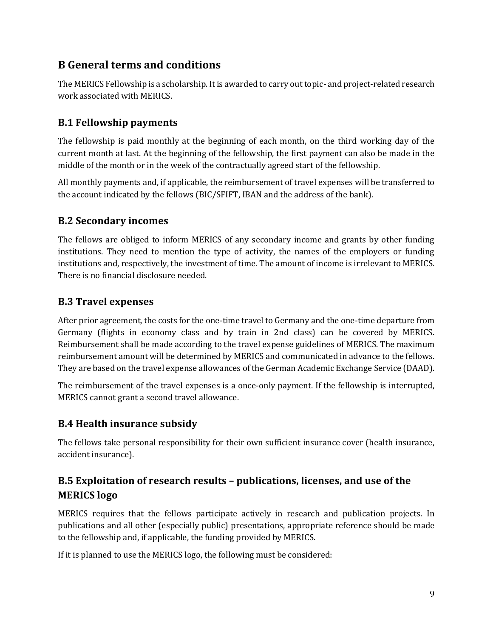# <span id="page-9-0"></span>**B General terms and conditions**

The MERICS Fellowship is a scholarship. It is awarded to carry out topic- and project-related research work associated with MERICS.

#### <span id="page-9-1"></span>**B.1 Fellowship payments**

The fellowship is paid monthly at the beginning of each month, on the third working day of the current month at last. At the beginning of the fellowship, the first payment can also be made in the middle of the month or in the week of the contractually agreed start of the fellowship.

All monthly payments and, if applicable, the reimbursement of travel expenses will be transferred to the account indicated by the fellows (BIC/SFIFT, IBAN and the address of the bank).

#### <span id="page-9-2"></span>**B.2 Secondary incomes**

The fellows are obliged to inform MERICS of any secondary income and grants by other funding institutions. They need to mention the type of activity, the names of the employers or funding institutions and, respectively, the investment of time. The amount of income is irrelevant to MERICS. There is no financial disclosure needed.

#### <span id="page-9-3"></span>**B.3 Travel expenses**

After prior agreement, the costs for the one-time travel to Germany and the one-time departure from Germany (flights in economy class and by train in 2nd class) can be covered by MERICS. Reimbursement shall be made according to the travel expense guidelines of MERICS. The maximum reimbursement amount will be determined by MERICS and communicated in advance to the fellows. They are based on the travel expense allowances of the German Academic Exchange Service (DAAD).

The reimbursement of the travel expenses is a once-only payment. If the fellowship is interrupted, MERICS cannot grant a second travel allowance.

#### <span id="page-9-4"></span>**B.4 Health insurance subsidy**

The fellows take personal responsibility for their own sufficient insurance cover (health insurance, accident insurance).

### <span id="page-9-5"></span>**B.5 Exploitation of research results – publications, licenses, and use of the MERICS logo**

MERICS requires that the fellows participate actively in research and publication projects. In publications and all other (especially public) presentations, appropriate reference should be made to the fellowship and, if applicable, the funding provided by MERICS.

If it is planned to use the MERICS logo, the following must be considered: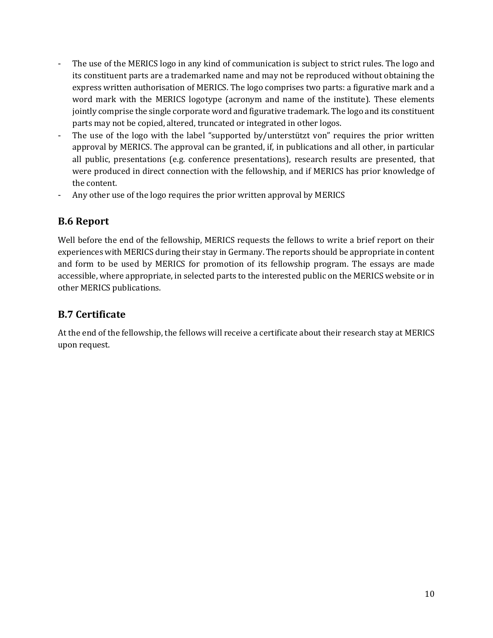- The use of the MERICS logo in any kind of communication is subject to strict rules. The logo and its constituent parts are a trademarked name and may not be reproduced without obtaining the express written authorisation of MERICS. The logo comprises two parts: a figurative mark and a word mark with the MERICS logotype (acronym and name of the institute). These elements jointly comprise the single corporate word and figurative trademark. The logo and its constituent parts may not be copied, altered, truncated or integrated in other logos.
- The use of the logo with the label "supported by/unterstützt von" requires the prior written approval by MERICS. The approval can be granted, if, in publications and all other, in particular all public, presentations (e.g. conference presentations), research results are presented, that were produced in direct connection with the fellowship, and if MERICS has prior knowledge of the content.
- Any other use of the logo requires the prior written approval by MERICS

#### <span id="page-10-0"></span>**B.6 Report**

Well before the end of the fellowship, MERICS requests the fellows to write a brief report on their experiences with MERICS during their stay in Germany. The reports should be appropriate in content and form to be used by MERICS for promotion of its fellowship program. The essays are made accessible, where appropriate, in selected parts to the interested public on the MERICS website or in other MERICS publications.

#### <span id="page-10-1"></span>**B.7 Certificate**

At the end of the fellowship, the fellows will receive a certificate about their research stay at MERICS upon request.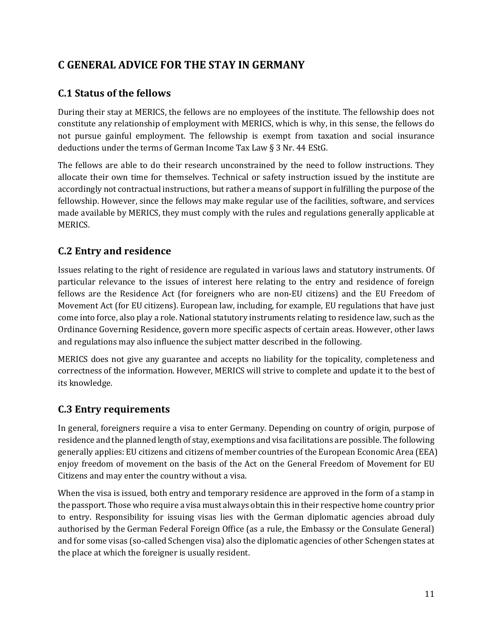# <span id="page-11-0"></span>**C GENERAL ADVICE FOR THE STAY IN GERMANY**

#### <span id="page-11-1"></span>**C.1 Status of the fellows**

During their stay at MERICS, the fellows are no employees of the institute. The fellowship does not constitute any relationship of employment with MERICS, which is why, in this sense, the fellows do not pursue gainful employment. The fellowship is exempt from taxation and social insurance deductions under the terms of German Income Tax Law § 3 Nr. 44 EStG.

The fellows are able to do their research unconstrained by the need to follow instructions. They allocate their own time for themselves. Technical or safety instruction issued by the institute are accordingly not contractual instructions, but rather a means of support in fulfilling the purpose of the fellowship. However, since the fellows may make regular use of the facilities, software, and services made available by MERICS, they must comply with the rules and regulations generally applicable at MERICS.

#### <span id="page-11-2"></span>**C.2 Entry and residence**

Issues relating to the right of residence are regulated in various laws and statutory instruments. Of particular relevance to the issues of interest here relating to the entry and residence of foreign fellows are the Residence Act (for foreigners who are non-EU citizens) and the EU Freedom of Movement Act (for EU citizens). European law, including, for example, EU regulations that have just come into force, also play a role. National statutory instruments relating to residence law, such as the Ordinance Governing Residence, govern more specific aspects of certain areas. However, other laws and regulations may also influence the subject matter described in the following.

MERICS does not give any guarantee and accepts no liability for the topicality, completeness and correctness of the information. However, MERICS will strive to complete and update it to the best of its knowledge.

#### <span id="page-11-3"></span>**C.3 Entry requirements**

In general, foreigners require a visa to enter Germany. Depending on country of origin, purpose of residence and the planned length of stay, exemptions and visa facilitations are possible. The following generally applies: EU citizens and citizens of member countries of the European Economic Area (EEA) enjoy freedom of movement on the basis of the Act on the General Freedom of Movement for EU Citizens and may enter the country without a visa.

When the visa is issued, both entry and temporary residence are approved in the form of a stamp in the passport. Those who require a visa must always obtain this in their respective home country prior to entry. Responsibility for issuing visas lies with the German diplomatic agencies abroad duly authorised by the German Federal Foreign Office (as a rule, the Embassy or the Consulate General) and for some visas (so-called Schengen visa) also the diplomatic agencies of other Schengen states at the place at which the foreigner is usually resident.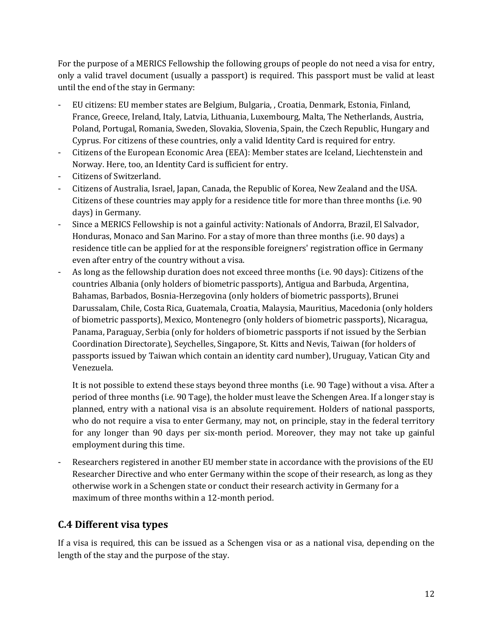For the purpose of a MERICS Fellowship the following groups of people do not need a visa for entry, only a valid travel document (usually a passport) is required. This passport must be valid at least until the end of the stay in Germany:

- EU citizens: EU member states are Belgium, Bulgaria, , Croatia, Denmark, Estonia, Finland, France, Greece, Ireland, Italy, Latvia, Lithuania, Luxembourg, Malta, The Netherlands, Austria, Poland, Portugal, Romania, Sweden, Slovakia, Slovenia, Spain, the Czech Republic, Hungary and Cyprus. For citizens of these countries, only a valid Identity Card is required for entry.
- Citizens of the European Economic Area (EEA): Member states are Iceland, Liechtenstein and Norway. Here, too, an Identity Card is sufficient for entry.
- Citizens of Switzerland.
- Citizens of Australia, Israel, Japan, Canada, the Republic of Korea, New Zealand and the USA. Citizens of these countries may apply for a residence title for more than three months (i.e. 90 days) in Germany.
- Since a MERICS Fellowship is not a gainful activity: Nationals of Andorra, Brazil, El Salvador, Honduras, Monaco and San Marino. For a stay of more than three months (i.e. 90 days) a residence title can be applied for at the responsible foreigners' registration office in Germany even after entry of the country without a visa.
- As long as the fellowship duration does not exceed three months (i.e. 90 days): Citizens of the countries Albania (only holders of biometric passports), Antigua and Barbuda, Argentina, Bahamas, Barbados, Bosnia-Herzegovina (only holders of biometric passports), Brunei Darussalam, Chile, Costa Rica, Guatemala, Croatia, Malaysia, Mauritius, Macedonia (only holders of biometric passports), Mexico, Montenegro (only holders of biometric passports), Nicaragua, Panama, Paraguay, Serbia (only for holders of biometric passports if not issued by the Serbian Coordination Directorate), Seychelles, Singapore, St. Kitts and Nevis, Taiwan (for holders of passports issued by Taiwan which contain an identity card number), Uruguay, Vatican City and Venezuela.

It is not possible to extend these stays beyond three months (i.e. 90 Tage) without a visa. After a period of three months (i.e. 90 Tage), the holder must leave the Schengen Area. If a longer stay is planned, entry with a national visa is an absolute requirement. Holders of national passports, who do not require a visa to enter Germany, may not, on principle, stay in the federal territory for any longer than 90 days per six-month period. Moreover, they may not take up gainful employment during this time.

Researchers registered in another EU member state in accordance with the provisions of the EU Researcher Directive and who enter Germany within the scope of their research, as long as they otherwise work in a Schengen state or conduct their research activity in Germany for a maximum of three months within a 12-month period.

#### <span id="page-12-0"></span>**C.4 Different visa types**

If a visa is required, this can be issued as a Schengen visa or as a national visa, depending on the length of the stay and the purpose of the stay.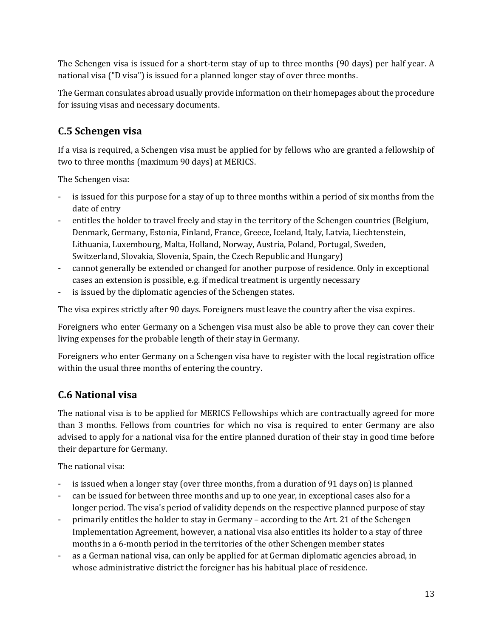The Schengen visa is issued for a short-term stay of up to three months (90 days) per half year. A national visa ("D visa") is issued for a planned longer stay of over three months.

The German consulates abroad usually provide information on their homepages about the procedure for issuing visas and necessary documents.

#### <span id="page-13-0"></span>**C.5 Schengen visa**

If a visa is required, a Schengen visa must be applied for by fellows who are granted a fellowship of two to three months (maximum 90 days) at MERICS.

The Schengen visa:

- is issued for this purpose for a stay of up to three months within a period of six months from the date of entry
- entitles the holder to travel freely and stay in the territory of the Schengen countries (Belgium, Denmark, Germany, Estonia, Finland, France, Greece, Iceland, Italy, Latvia, Liechtenstein, Lithuania, Luxembourg, Malta, Holland, Norway, Austria, Poland, Portugal, Sweden, Switzerland, Slovakia, Slovenia, Spain, the Czech Republic and Hungary)
- cannot generally be extended or changed for another purpose of residence. Only in exceptional cases an extension is possible, e.g. if medical treatment is urgently necessary
- is issued by the diplomatic agencies of the Schengen states.

The visa expires strictly after 90 days. Foreigners must leave the country after the visa expires.

Foreigners who enter Germany on a Schengen visa must also be able to prove they can cover their living expenses for the probable length of their stay in Germany.

Foreigners who enter Germany on a Schengen visa have to register with the local registration office within the usual three months of entering the country.

#### <span id="page-13-1"></span>**C.6 National visa**

The national visa is to be applied for MERICS Fellowships which are contractually agreed for more than 3 months. Fellows from countries for which no visa is required to enter Germany are also advised to apply for a national visa for the entire planned duration of their stay in good time before their departure for Germany.

The national visa:

- is issued when a longer stay (over three months, from a duration of 91 days on) is planned
- can be issued for between three months and up to one year, in exceptional cases also for a longer period. The visa's period of validity depends on the respective planned purpose of stay
- primarily entitles the holder to stay in Germany according to the Art. 21 of the Schengen Implementation Agreement, however, a national visa also entitles its holder to a stay of three months in a 6-month period in the territories of the other Schengen member states
- as a German national visa, can only be applied for at German diplomatic agencies abroad, in whose administrative district the foreigner has his habitual place of residence.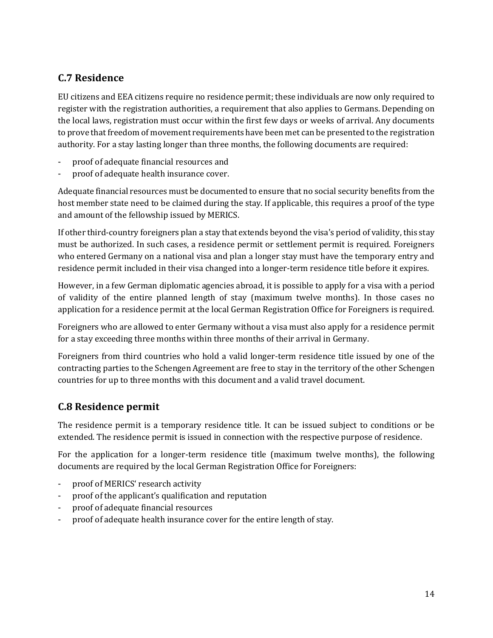#### <span id="page-14-0"></span>**C.7 Residence**

EU citizens and EEA citizens require no residence permit; these individuals are now only required to register with the registration authorities, a requirement that also applies to Germans. Depending on the local laws, registration must occur within the first few days or weeks of arrival. Any documents to prove that freedom of movement requirements have been met can be presented to the registration authority. For a stay lasting longer than three months, the following documents are required:

- proof of adequate financial resources and
- proof of adequate health insurance cover.

Adequate financial resources must be documented to ensure that no social security benefits from the host member state need to be claimed during the stay. If applicable, this requires a proof of the type and amount of the fellowship issued by MERICS.

If other third-country foreigners plan a stay that extends beyond the visa's period of validity, this stay must be authorized. In such cases, a residence permit or settlement permit is required. Foreigners who entered Germany on a national visa and plan a longer stay must have the temporary entry and residence permit included in their visa changed into a longer-term residence title before it expires.

However, in a few German diplomatic agencies abroad, it is possible to apply for a visa with a period of validity of the entire planned length of stay (maximum twelve months). In those cases no application for a residence permit at the local German Registration Office for Foreigners is required.

Foreigners who are allowed to enter Germany without a visa must also apply for a residence permit for a stay exceeding three months within three months of their arrival in Germany.

Foreigners from third countries who hold a valid longer-term residence title issued by one of the contracting parties to the Schengen Agreement are free to stay in the territory of the other Schengen countries for up to three months with this document and a valid travel document.

#### <span id="page-14-1"></span>**C.8 Residence permit**

The residence permit is a temporary residence title. It can be issued subject to conditions or be extended. The residence permit is issued in connection with the respective purpose of residence.

For the application for a longer-term residence title (maximum twelve months), the following documents are required by the local German Registration Office for Foreigners:

- proof of MERICS' research activity
- proof of the applicant's qualification and reputation
- proof of adequate financial resources
- proof of adequate health insurance cover for the entire length of stay.